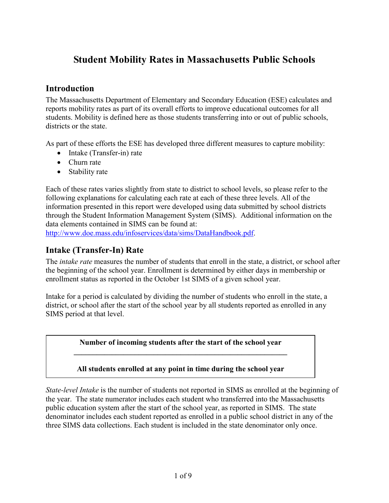# **Student Mobility Rates in Massachusetts Public Schools**

# **Introduction**

The Massachusetts Department of Elementary and Secondary Education (ESE) calculates and reports mobility rates as part of its overall efforts to improve educational outcomes for all students. Mobility is defined here as those students transferring into or out of public schools, districts or the state.

As part of these efforts the ESE has developed three different measures to capture mobility:

- Intake (Transfer-in) rate
- Churn rate
- Stability rate

Each of these rates varies slightly from state to district to school levels, so please refer to the following explanations for calculating each rate at each of these three levels. All of the information presented in this report were developed using data submitted by school districts through the Student Information Management System (SIMS). Additional information on the data elements contained in SIMS can be found at:

http://www.doe.mass.edu/infoservices/data/sims/DataHandbook.pdf.

# **Intake (Transfer-In) Rate**

The *intake rate* measures the number of students that enroll in the state, a district, or school after the beginning of the school year. Enrollment is determined by either days in membership or enrollment status as reported in the October 1st SIMS of a given school year.

Intake for a period is calculated by dividing the number of students who enroll in the state, a district, or school after the start of the school year by all students reported as enrolled in any SIMS period at that level.

> **Number of incoming students after the start of the school year**  $\mathcal{L} = \{ \mathcal{L} \mid \mathcal{L} \in \mathcal{L} \}$

> **All students enrolled at any point in time during the school year**

*State-level Intake* is the number of students not reported in SIMS as enrolled at the beginning of the year. The state numerator includes each student who transferred into the Massachusetts public education system after the start of the school year, as reported in SIMS. The state denominator includes each student reported as enrolled in a public school district in any of the three SIMS data collections. Each student is included in the state denominator only once.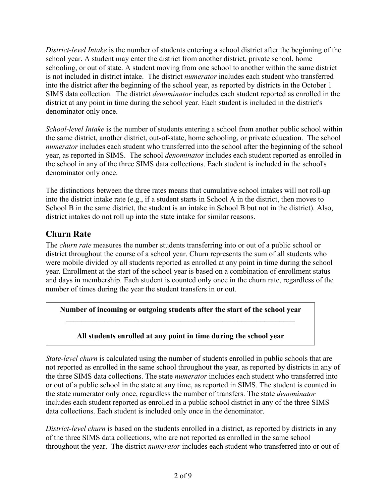*District-level Intake* is the number of students entering a school district after the beginning of the school year. A student may enter the district from another district, private school, home schooling, or out of state. A student moving from one school to another within the same district is not included in district intake. The district *numerator* includes each student who transferred into the district after the beginning of the school year, as reported by districts in the October 1 SIMS data collection. The district *denominator* includes each student reported as enrolled in the district at any point in time during the school year. Each student is included in the district's denominator only once.

*School-level Intake* is the number of students entering a school from another public school within the same district, another district, out-of-state, home schooling, or private education. The school *numerator* includes each student who transferred into the school after the beginning of the school year, as reported in SIMS. The school *denominator* includes each student reported as enrolled in the school in any of the three SIMS data collections. Each student is included in the school's denominator only once.

The distinctions between the three rates means that cumulative school intakes will not roll-up into the district intake rate (e.g., if a student starts in School A in the district, then moves to School B in the same district, the student is an intake in School B but not in the district). Also, district intakes do not roll up into the state intake for similar reasons.

# **Churn Rate**

The *churn rate* measures the number students transferring into or out of a public school or district throughout the course of a school year. Churn represents the sum of all students who were mobile divided by all students reported as enrolled at any point in time during the school year. Enrollment at the start of the school year is based on a combination of enrollment status and days in membership. Each student is counted only once in the churn rate, regardless of the number of times during the year the student transfers in or out.

**Number of incoming or outgoing students after the start of the school year**  $\mathcal{L}_\text{max} = \frac{1}{2} \sum_{i=1}^n \mathcal{L}_\text{max} \left[ \mathcal{L}_\text{max} \left( \frac{1}{2} \right) \mathcal{L}_\text{max} \left( \frac{1}{2} \right) \mathcal{L}_\text{max} \left( \frac{1}{2} \right) \mathcal{L}_\text{max} \left( \frac{1}{2} \right) \mathcal{L}_\text{max} \left( \frac{1}{2} \right) \mathcal{L}_\text{max} \left( \frac{1}{2} \right) \mathcal{L}_\text{max} \left( \frac{1}{2} \right) \mathcal{L}_\text{max$ 

### **All students enrolled at any point in time during the school year**

*State-level churn* is calculated using the number of students enrolled in public schools that are not reported as enrolled in the same school throughout the year, as reported by districts in any of the three SIMS data collections. The state *numerator* includes each student who transferred into or out of a public school in the state at any time, as reported in SIMS. The student is counted in the state numerator only once, regardless the number of transfers. The state *denominator* includes each student reported as enrolled in a public school district in any of the three SIMS data collections. Each student is included only once in the denominator.

*District-level churn* is based on the students enrolled in a district, as reported by districts in any of the three SIMS data collections, who are not reported as enrolled in the same school throughout the year. The district *numerator* includes each student who transferred into or out of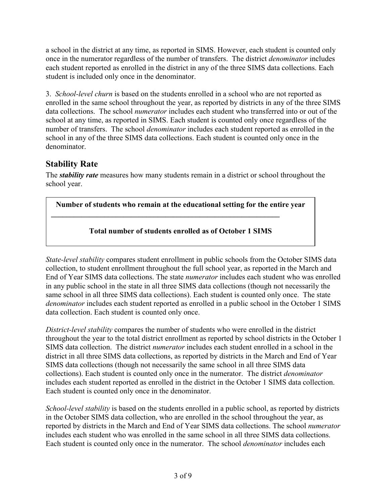a school in the district at any time, as reported in SIMS. However, each student is counted only once in the numerator regardless of the number of transfers. The district *denominator* includes each student reported as enrolled in the district in any of the three SIMS data collections. Each student is included only once in the denominator.

3. *School-level churn* is based on the students enrolled in a school who are not reported as enrolled in the same school throughout the year, as reported by districts in any of the three SIMS data collections. The school *numerator* includes each student who transferred into or out of the school at any time, as reported in SIMS. Each student is counted only once regardless of the number of transfers. The school *denominator* includes each student reported as enrolled in the school in any of the three SIMS data collections. Each student is counted only once in the denominator.

# **Stability Rate**

The *stability rate* measures how many students remain in a district or school throughout the school year.

**Number of students who remain at the educational setting for the entire year**

**\_\_\_\_\_\_\_\_\_\_\_\_\_\_\_\_\_\_\_\_\_\_\_\_\_\_\_\_\_\_\_\_\_\_\_\_\_\_\_\_\_\_\_\_\_\_\_\_\_\_\_\_\_\_\_\_\_\_\_\_**

### **Total number of students enrolled as of October 1 SIMS**

*State-level stability* compares student enrollment in public schools from the October SIMS data collection, to student enrollment throughout the full school year, as reported in the March and End of Year SIMS data collections. The state *numerator* includes each student who was enrolled in any public school in the state in all three SIMS data collections (though not necessarily the same school in all three SIMS data collections). Each student is counted only once. The state *denominator* includes each student reported as enrolled in a public school in the October 1 SIMS data collection. Each student is counted only once.

*District-level stability* compares the number of students who were enrolled in the district throughout the year to the total district enrollment as reported by school districts in the October 1 SIMS data collection. The district *numerator* includes each student enrolled in a school in the district in all three SIMS data collections, as reported by districts in the March and End of Year SIMS data collections (though not necessarily the same school in all three SIMS data collections). Each student is counted only once in the numerator. The district *denominator* includes each student reported as enrolled in the district in the October 1 SIMS data collection. Each student is counted only once in the denominator.

*School-level stability* is based on the students enrolled in a public school, as reported by districts in the October SIMS data collection, who are enrolled in the school throughout the year, as reported by districts in the March and End of Year SIMS data collections. The school *numerator* includes each student who was enrolled in the same school in all three SIMS data collections. Each student is counted only once in the numerator. The school *denominator* includes each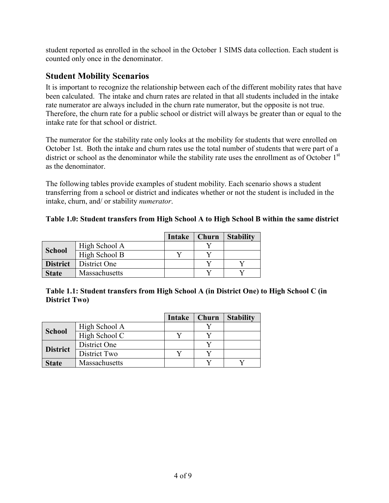student reported as enrolled in the school in the October 1 SIMS data collection. Each student is counted only once in the denominator.

## **Student Mobility Scenarios**

It is important to recognize the relationship between each of the different mobility rates that have been calculated. The intake and churn rates are related in that all students included in the intake rate numerator are always included in the churn rate numerator, but the opposite is not true. Therefore, the churn rate for a public school or district will always be greater than or equal to the intake rate for that school or district.

The numerator for the stability rate only looks at the mobility for students that were enrolled on October 1st. Both the intake and churn rates use the total number of students that were part of a district or school as the denominator while the stability rate uses the enrollment as of October 1<sup>st</sup> as the denominator.

The following tables provide examples of student mobility. Each scenario shows a student transferring from a school or district and indicates whether or not the student is included in the intake, churn, and/ or stability *numerator*.

#### **Table 1.0: Student transfers from High School A to High School B within the same district**

|                 |               | Intake | Churn | <b>Stability</b> |
|-----------------|---------------|--------|-------|------------------|
|                 | High School A |        |       |                  |
| <b>School</b>   | High School B |        |       |                  |
| <b>District</b> | District One  |        |       |                  |
| <b>State</b>    | Massachusetts |        |       |                  |

| Table 1.1: Student transfers from High School A (in District One) to High School C (in |  |  |
|----------------------------------------------------------------------------------------|--|--|
| <b>District Two</b>                                                                    |  |  |

|                 |               | Intake | Churn | <b>Stability</b> |
|-----------------|---------------|--------|-------|------------------|
| <b>School</b>   | High School A |        |       |                  |
|                 | High School C |        |       |                  |
| <b>District</b> | District One  |        |       |                  |
|                 | District Two  |        |       |                  |
| <b>State</b>    | Massachusetts |        |       |                  |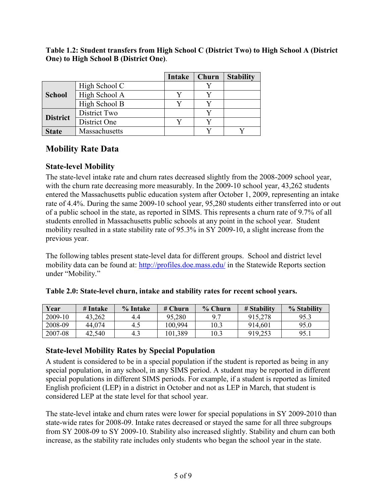|                 |               | Intake | Churn | <b>Stability</b> |
|-----------------|---------------|--------|-------|------------------|
|                 | High School C |        |       |                  |
| <b>School</b>   | High School A |        |       |                  |
|                 | High School B |        |       |                  |
| <b>District</b> | District Two  |        |       |                  |
|                 | District One  |        |       |                  |
| <b>State</b>    | Massachusetts |        |       |                  |

**Table 1.2: Student transfers from High School C (District Two) to High School A (District One) to High School B (District One)**.

# **Mobility Rate Data**

### **State-level Mobility**

The state-level intake rate and churn rates decreased slightly from the 2008-2009 school year, with the churn rate decreasing more measurably. In the 2009-10 school year, 43,262 students entered the Massachusetts public education system after October 1, 2009, representing an intake rate of 4.4%. During the same 2009-10 school year, 95,280 students either transferred into or out of a public school in the state, as reported in SIMS. This represents a churn rate of 9.7% of all students enrolled in Massachusetts public schools at any point in the school year. Student mobility resulted in a state stability rate of 95.3% in SY 2009-10, a slight increase from the previous year.

The following tables present state-level data for different groups. School and district level mobility data can be found at: http://profiles.doe.mass.edu/ in the Statewide Reports section under "Mobility."

| Year    | # Intake | % Intake | $#$ Churn | % Churn        | # Stability | % Stability |
|---------|----------|----------|-----------|----------------|-------------|-------------|
| 2009-10 | 43,262   | 4.4      | 95,280    | Q <sub>7</sub> | 915,278     | 95.3        |
| 2008-09 | 44.074   | 4.5      | 00,994    | 10.3           | 914,601     | 95.0        |
| 2007-08 | 42,540   | 4.3      | 01,389    | 10.3           | 919,253     | 95.         |

#### **Table 2.0: State-level churn, intake and stability rates for recent school years.**

### **State-level Mobility Rates by Special Population**

A student is considered to be in a special population if the student is reported as being in any special population, in any school, in any SIMS period. A student may be reported in different special populations in different SIMS periods. For example, if a student is reported as limited English proficient (LEP) in a district in October and not as LEP in March, that student is considered LEP at the state level for that school year.

The state-level intake and churn rates were lower for special populations in SY 2009-2010 than state-wide rates for 2008-09. Intake rates decreased or stayed the same for all three subgroups from SY 2008-09 to SY 2009-10. Stability also increased slightly. Stability and churn can both increase, as the stability rate includes only students who began the school year in the state.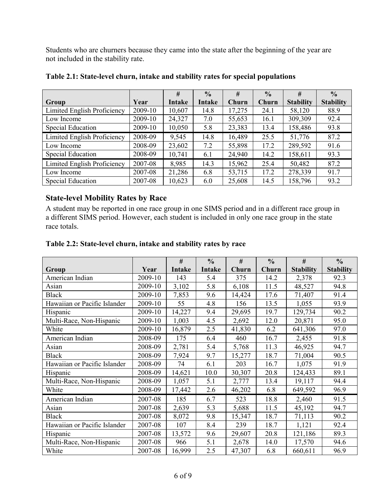Students who are churners because they came into the state after the beginning of the year are not included in the stability rate.

|                             |         | #      | $\frac{0}{0}$ | #      | $\frac{0}{0}$ | #                | $\frac{0}{0}$    |
|-----------------------------|---------|--------|---------------|--------|---------------|------------------|------------------|
| Group                       | Year    | Intake | Intake        | Churn  | Churn         | <b>Stability</b> | <b>Stability</b> |
| Limited English Proficiency | 2009-10 | 10,607 | 14.8          | 17,275 | 24.1          | 58,120           | 88.9             |
| Low Income                  | 2009-10 | 24,327 | 7.0           | 55,653 | 16.1          | 309,309          | 92.4             |
| Special Education           | 2009-10 | 10,050 | 5.8           | 23,383 | 13.4          | 158,486          | 93.8             |
| Limited English Proficiency | 2008-09 | 9,545  | 14.8          | 16,489 | 25.5          | 51,776           | 87.2             |
| Low Income                  | 2008-09 | 23,602 | 7.2           | 55,898 | 17.2          | 289,592          | 91.6             |
| Special Education           | 2008-09 | 10,741 | 6.1           | 24,940 | 14.2          | 158,611          | 93.3             |
| Limited English Proficiency | 2007-08 | 8,985  | 14.3          | 15,962 | 25.4          | 50,482           | 87.2             |
| Low Income                  | 2007-08 | 21,286 | 6.8           | 53,715 | 17.2          | 278,339          | 91.7             |
| Special Education           | 2007-08 | 10,623 | 6.0           | 25,608 | 14.5          | 158,796          | 93.2             |

#### **Table 2.1: State-level churn, intake and stability rates for special populations**

### **State-level Mobility Rates by Race**

A student may be reported in one race group in one SIMS period and in a different race group in a different SIMS period. However, each student is included in only one race group in the state race totals.

#### **Table 2.2: State-level churn, intake and stability rates by race**

|                              |         | #             | $\frac{0}{0}$ | #      | $\frac{0}{0}$ | #                | $\frac{0}{0}$    |
|------------------------------|---------|---------------|---------------|--------|---------------|------------------|------------------|
| Group                        | Year    | <b>Intake</b> | Intake        | Churn  | Churn         | <b>Stability</b> | <b>Stability</b> |
| American Indian              | 2009-10 | 143           | 5.4           | 375    | 14.2          | 2,378            | 92.3             |
| Asian                        | 2009-10 | 3,102         | 5.8           | 6,108  | 11.5          | 48,527           | 94.8             |
| <b>Black</b>                 | 2009-10 | 7,853         | 9.6           | 14,424 | 17.6          | 71,407           | 91.4             |
| Hawaiian or Pacific Islander | 2009-10 | 55            | 4.8           | 156    | 13.5          | 1,055            | 93.9             |
| Hispanic                     | 2009-10 | 14,227        | 9.4           | 29,695 | 19.7          | 129,734          | 90.2             |
| Multi-Race, Non-Hispanic     | 2009-10 | 1,003         | 4.5           | 2,692  | 12.0          | 20,871           | 95.0             |
| White                        | 2009-10 | 16,879        | 2.5           | 41,830 | 6.2           | 641,306          | 97.0             |
| American Indian              | 2008-09 | 175           | 6.4           | 460    | 16.7          | 2,455            | 91.8             |
| Asian                        | 2008-09 | 2,781         | 5.4           | 5,768  | 11.3          | 46,925           | 94.7             |
| <b>Black</b>                 | 2008-09 | 7,924         | 9.7           | 15,277 | 18.7          | 71,004           | 90.5             |
| Hawaiian or Pacific Islander | 2008-09 | 74            | 6.1           | 203    | 16.7          | 1,075            | 91.9             |
| Hispanic                     | 2008-09 | 14,621        | 10.0          | 30,307 | 20.8          | 124,433          | 89.1             |
| Multi-Race, Non-Hispanic     | 2008-09 | 1,057         | 5.1           | 2,777  | 13.4          | 19,117           | 94.4             |
| White                        | 2008-09 | 17,442        | 2.6           | 46,202 | 6.8           | 649,592          | 96.9             |
| American Indian              | 2007-08 | 185           | 6.7           | 523    | 18.8          | 2,460            | 91.5             |
| Asian                        | 2007-08 | 2,639         | 5.3           | 5,688  | 11.5          | 45,192           | 94.7             |
| <b>Black</b>                 | 2007-08 | 8,072         | 9.8           | 15,347 | 18.7          | 71,113           | 90.2             |
| Hawaiian or Pacific Islander | 2007-08 | 107           | 8.4           | 239    | 18.7          | 1,121            | 92.4             |
| Hispanic                     | 2007-08 | 13,572        | 9.6           | 29,607 | 20.8          | 121,186          | 89.3             |
| Multi-Race, Non-Hispanic     | 2007-08 | 966           | 5.1           | 2,678  | 14.0          | 17,570           | 94.6             |
| White                        | 2007-08 | 16,999        | 2.5           | 47,307 | 6.8           | 660,611          | 96.9             |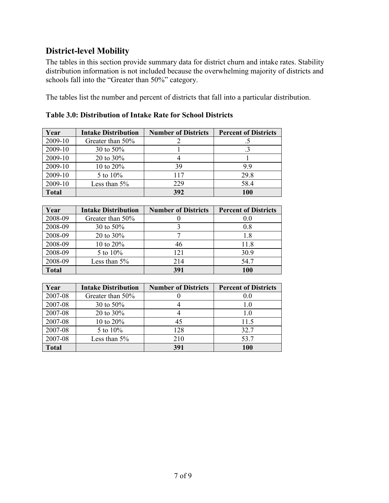# **District-level Mobility**

The tables in this section provide summary data for district churn and intake rates. Stability distribution information is not included because the overwhelming majority of districts and schools fall into the "Greater than 50%" category.

The tables list the number and percent of districts that fall into a particular distribution.

| Year         | <b>Intake Distribution</b> | <b>Number of Districts</b> | <b>Percent of Districts</b> |
|--------------|----------------------------|----------------------------|-----------------------------|
| 2009-10      | Greater than 50%           |                            |                             |
| 2009-10      | 30 to 50%                  |                            |                             |
| 2009-10      | 20 to $30\%$               |                            |                             |
| 2009-10      | 10 to 20%                  | 39                         | 99                          |
| 2009-10      | 5 to 10%                   | 117                        | 29.8                        |
| 2009-10      | Less than $5\%$            | 229                        | 58.4                        |
| <b>Total</b> |                            | 392                        | 100                         |

**Table 3.0: Distribution of Intake Rate for School Districts**

| Year         | <b>Intake Distribution</b> | <b>Number of Districts</b> | <b>Percent of Districts</b> |
|--------------|----------------------------|----------------------------|-----------------------------|
| 2008-09      | Greater than 50%           |                            | 0.0                         |
| 2008-09      | 30 to 50%                  |                            | 0.8                         |
| 2008-09      | 20 to $30\%$               |                            | 1.8                         |
| 2008-09      | 10 to 20%                  | 46                         | 11.8                        |
| 2008-09      | 5 to 10%                   | 121                        | 30.9                        |
| 2008-09      | Less than $5\%$            | 214                        | 54.7                        |
| <b>Total</b> |                            | 391                        | 100                         |

| Year         | <b>Intake Distribution</b> | <b>Number of Districts</b> | <b>Percent of Districts</b> |
|--------------|----------------------------|----------------------------|-----------------------------|
| 2007-08      | Greater than 50%           |                            | 0.0                         |
| 2007-08      | 30 to 50%                  |                            | 1.0                         |
| 2007-08      | 20 to $30\%$               |                            | 1.0                         |
| 2007-08      | 10 to 20%                  | 45                         | 11.5                        |
| 2007-08      | 5 to 10%                   | 128                        | 32.7                        |
| 2007-08      | Less than $5\%$            | 210                        | 53.7                        |
| <b>Total</b> |                            | 391                        | 100                         |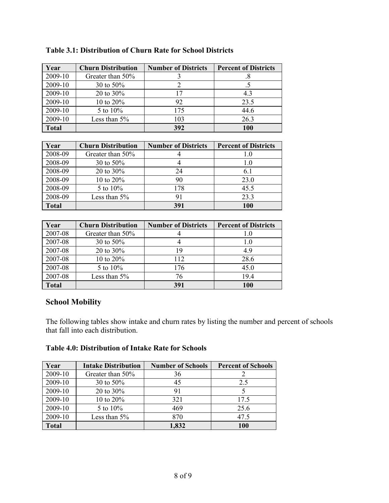| Year         | <b>Churn Distribution</b> | <b>Number of Districts</b> | <b>Percent of Districts</b> |
|--------------|---------------------------|----------------------------|-----------------------------|
| 2009-10      | Greater than 50%          |                            | .8                          |
| 2009-10      | 30 to 50%                 |                            |                             |
| 2009-10      | 20 to $30\%$              | 17                         | 4.3                         |
| 2009-10      | 10 to $20\%$              | 92                         | 23.5                        |
| 2009-10      | 5 to $10\%$               | 175                        | 44.6                        |
| 2009-10      | Less than $5\%$           | 103                        | 26.3                        |
| <b>Total</b> |                           | 392                        | 100                         |

### **Table 3.1: Distribution of Churn Rate for School Districts**

| Year         | <b>Churn Distribution</b> | <b>Number of Districts</b> | <b>Percent of Districts</b> |
|--------------|---------------------------|----------------------------|-----------------------------|
| 2008-09      | Greater than 50%          |                            | 1.0                         |
| 2008-09      | 30 to $50\%$              |                            | 1.0                         |
| 2008-09      | 20 to $30\%$              | 24                         | 6.1                         |
| 2008-09      | 10 to $20\%$              | 90                         | 23.0                        |
| 2008-09      | 5 to $10\%$               | 178                        | 45.5                        |
| 2008-09      | Less than $5%$            | 91                         | 23.3                        |
| <b>Total</b> |                           | 391                        | 100                         |

| Year         | <b>Churn Distribution</b> | <b>Number of Districts</b> | <b>Percent of Districts</b> |
|--------------|---------------------------|----------------------------|-----------------------------|
| 2007-08      | Greater than 50%          |                            | 1.0                         |
| 2007-08      | 30 to 50%                 |                            | 1.0                         |
| 2007-08      | 20 to $30\%$              | 19                         | 4.9                         |
| 2007-08      | 10 to 20%                 | 112                        | 28.6                        |
| 2007-08      | 5 to $10\%$               | 176                        | 45.0                        |
| 2007-08      | Less than $5\%$           | 76                         | 19.4                        |
| <b>Total</b> |                           | 391                        | 100                         |

# **School Mobility**

The following tables show intake and churn rates by listing the number and percent of schools that fall into each distribution.

### **Table 4.0: Distribution of Intake Rate for Schools**

| Year    | <b>Intake Distribution</b> | <b>Number of Schools</b> | <b>Percent of Schools</b> |
|---------|----------------------------|--------------------------|---------------------------|
| 2009-10 | Greater than 50%           | 36                       |                           |
| 2009-10 | 30 to $50\%$               | 45                       | 2.5                       |
| 2009-10 | 20 to $30\%$               | 91                       |                           |
| 2009-10 | 10 to $20\%$               | 321                      | 17.5                      |
| 2009-10 | 5 to 10%                   | 469                      | 25.6                      |
| 2009-10 | Less than $5%$             | 870                      | 47.5                      |
| Total   |                            | 1,832                    | 100                       |